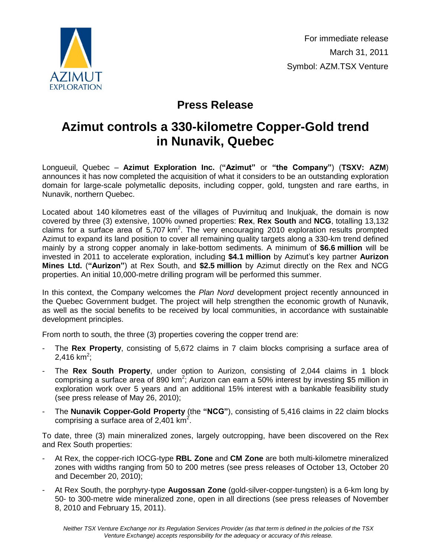

## **Press Release**

## **Azimut controls a 330-kilometre Copper-Gold trend in Nunavik, Quebec**

Longueuil, Quebec – **Azimut Exploration Inc.** (**"Azimut"** or **"the Company"**) (**TSXV: AZM**) announces it has now completed the acquisition of what it considers to be an outstanding exploration domain for large-scale polymetallic deposits, including copper, gold, tungsten and rare earths, in Nunavik, northern Quebec.

Located about 140 kilometres east of the villages of Puvirnituq and Inukjuak, the domain is now covered by three (3) extensive, 100% owned properties: **Rex**, **Rex South** and **NCG**, totalling 13,132 claims for a surface area of 5,707  $km^2$ . The very encouraging 2010 exploration results prompted Azimut to expand its land position to cover all remaining quality targets along a 330-km trend defined mainly by a strong copper anomaly in lake-bottom sediments. A minimum of **\$6.6 million** will be invested in 2011 to accelerate exploration, including **\$4.1 million** by Azimut's key partner **Aurizon Mines Ltd.** (**"Aurizon"**) at Rex South, and **\$2.5 million** by Azimut directly on the Rex and NCG properties. An initial 10,000-metre drilling program will be performed this summer.

In this context, the Company welcomes the *Plan Nord* development project recently announced in the Quebec Government budget. The project will help strengthen the economic growth of Nunavik, as well as the social benefits to be received by local communities, in accordance with sustainable development principles.

From north to south, the three (3) properties covering the copper trend are:

- The **Rex Property**, consisting of 5,672 claims in 7 claim blocks comprising a surface area of  $2,416$  km<sup>2</sup>;
- The Rex South Property, under option to Aurizon, consisting of 2,044 claims in 1 block comprising a surface area of 890 km<sup>2</sup>; Aurizon can earn a 50% interest by investing \$5 million in exploration work over 5 years and an additional 15% interest with a bankable feasibility study (see press release of May 26, 2010);
- The **Nunavik Copper-Gold Property** (the **"NCG"**), consisting of 5,416 claims in 22 claim blocks comprising a surface area of 2,401  $\text{km}^2$ .

To date, three (3) main mineralized zones, largely outcropping, have been discovered on the Rex and Rex South properties:

- At Rex, the copper-rich IOCG-type **RBL Zone** and **CM Zone** are both multi-kilometre mineralized zones with widths ranging from 50 to 200 metres (see press releases of October 13, October 20 and December 20, 2010);
- At Rex South, the porphyry-type **Augossan Zone** (gold-silver-copper-tungsten) is a 6-km long by 50- to 300-metre wide mineralized zone, open in all directions (see press releases of November 8, 2010 and February 15, 2011).